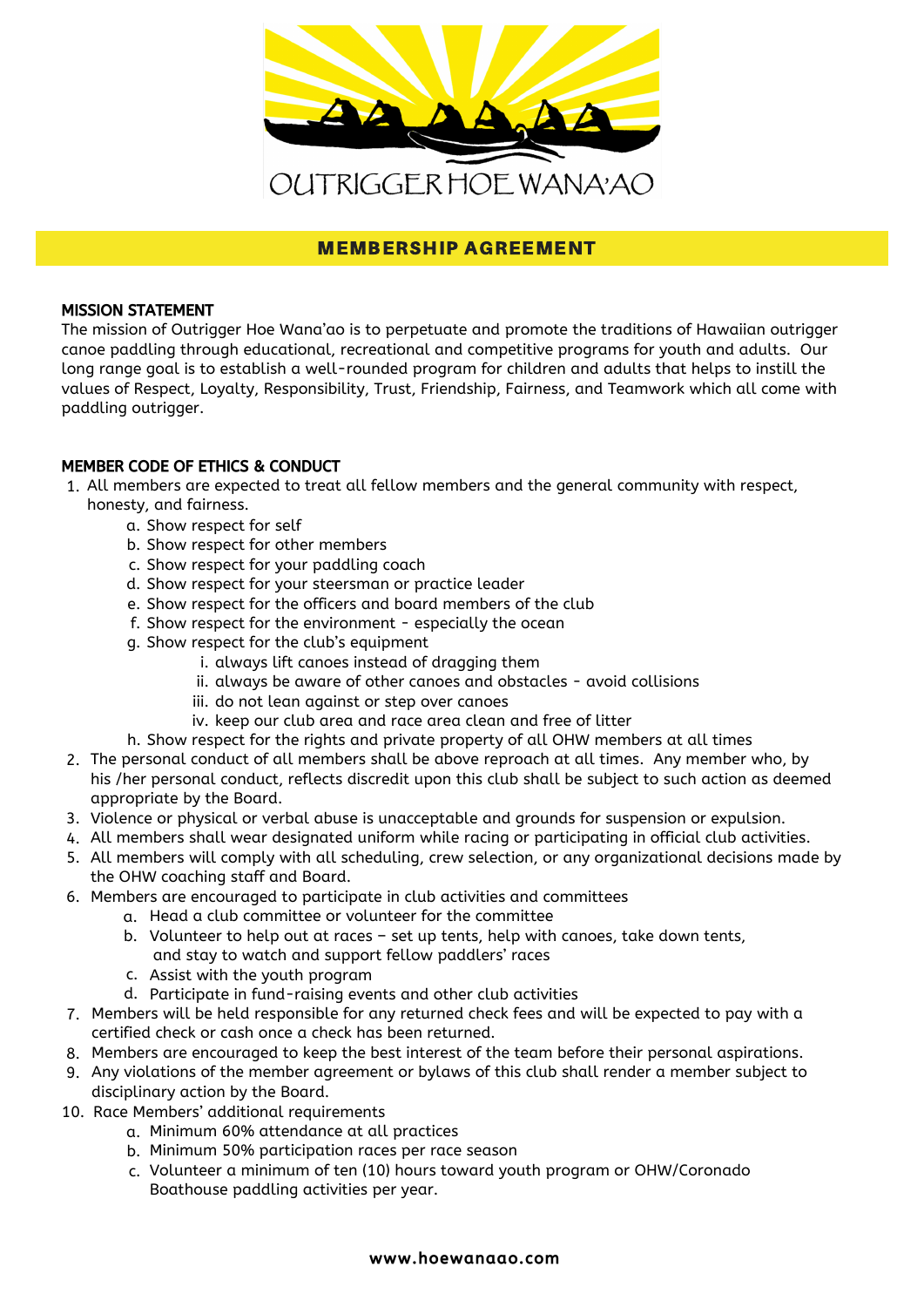

## **MEMBERSHIP AGREEMENT**

## MISSION STATEMENT

The mission of Outrigger Hoe Wana'ao is to perpetuate and promote the traditions of Hawaiian outrigger canoe paddling through educational, recreational and competitive programs for youth and adults. Our long range goal is to establish a well-rounded program for children and adults that helps to instill the values of Respect, Loyalty, Responsibility, Trust, Friendship, Fairness, and Teamwork which all come with paddling outrigger.

## MEMBER CODE OF ETHICS & CONDUCT

- All members are expected to treat all fellow members and the general community with respect, 1. honesty, and fairness.
	- a. Show respect for self
	- b. Show respect for other members
	- c. Show respect for your paddling coach
	- d. Show respect for your steersman or practice leader
	- e. Show respect for the officers and board members of the club
	- f. Show respect for the environment especially the ocean
	- g. Show respect for the club's equipment
		- i. always lift canoes instead of dragging them
		- ii. always be aware of other canoes and obstacles avoid collisions
		- iii. do not lean against or step over canoes
		- iv. keep our club area and race area clean and free of litter
	- h. Show respect for the rights and private property of all OHW members at all times
- 2. The personal conduct of all members shall be above reproach at all times. Any member who, by his /her personal conduct, reflects discredit upon this club shall be subject to such action as deemed appropriate by the Board.
- 3. Violence or physical or verbal abuse is unacceptable and grounds for suspension or expulsion.
- All members shall wear designated uniform while racing or participating in official club activities. 4.
- 5. All members will comply with all scheduling, crew selection, or any organizational decisions made by the OHW coaching staff and Board.
- Members are encouraged to participate in club activities and committees 6.
	- a. Head a club committee or volunteer for the committee
		- Volunteer to help out at races set up tents, help with canoes, take down tents, b. and stay to watch and support fellow paddlers' races
		- c. Assist with the youth program
		- Participate in fund-raising events and other club activities d.
- Members will be held responsible for any returned check fees and will be expected to pay with a 7. certified check or cash once a check has been returned.
- Members are encouraged to keep the best interest of the team before their personal aspirations. 8.
- 9. Any violations of the member agreement or bylaws of this club shall render a member subject to disciplinary action by the Board.
- 10. Race Members' additional requirements
	- a. Minimum 60% attendance at all practices
	- Minimum 50% participation races per race season b.
	- c. Volunteer a minimum of ten (10) hours toward youth program or OHW/Coronado Boathouse paddling activities per year.

#### www.hoewanaao.com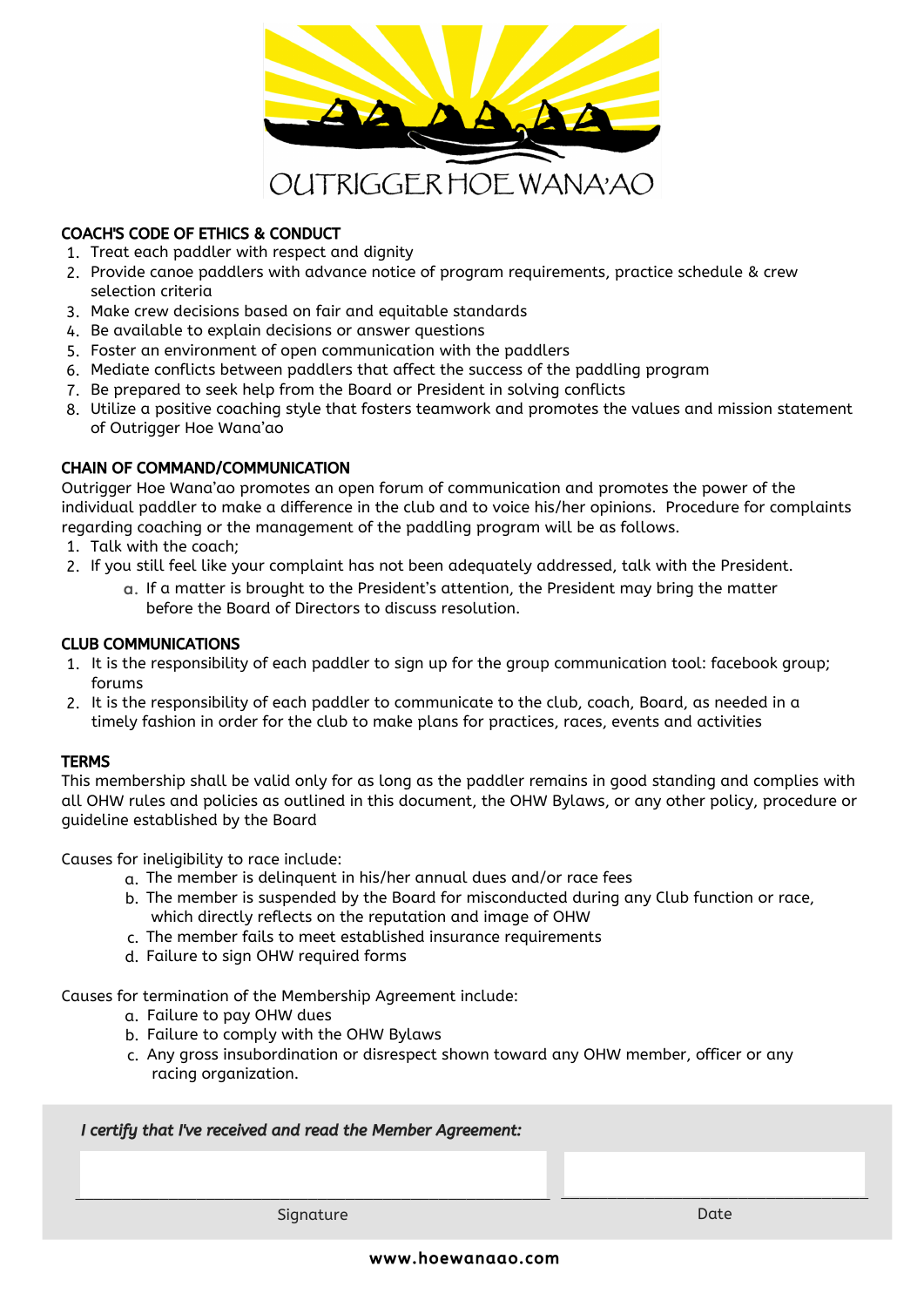

## COACH'S CODE OF ETHICS & CONDUCT

- 1. Treat each paddler with respect and dignity
- 2. Provide canoe paddlers with advance notice of program requirements, practice schedule & crew selection criteria
- Make crew decisions based on fair and equitable standards 3.
- 4.Be available to explain decisions or answer questions
- Foster an environment of open communication with the paddlers 5.
- Mediate conflicts between paddlers that affect the success of the paddling program 6.
- 7. Be prepared to seek help from the Board or President in solving conflicts
- Utilize a positive coaching style that fosters teamwork and promotes the values and mission statement 8. of Outrigger Hoe Wana'ao

## CHAIN OF COMMAND/COMMUNICATION

Outrigger Hoe Wana'ao promotes an open forum of communication and promotes the power of the individual paddler to make a difference in the club and to voice his/her opinions. Procedure for complaints regarding coaching or the management of the paddling program will be as follows.

- 1. Talk with the coach;
- If you still feel like your complaint has not been adequately addressed, talk with the President. 2.
	- a. If a matter is brought to the President's attention, the President may bring the matter before the Board of Directors to discuss resolution.

### CLUB COMMUNICATIONS

- It is the responsibility of each paddler to sign up for the group communication tool: facebook group; 1. forums
- 2. It is the responsibility of each paddler to communicate to the club, coach, Board, as needed in a timely fashion in order for the club to make plans for practices, races, events and activities

#### **TERMS**

This membership shall be valid only for as long as the paddler remains in good standing and complies with all OHW rules and policies as outlined in this document, the OHW Bylaws, or any other policy, procedure or guideline established by the Board

Causes for ineligibility to race include:

- The member is delinquent in his/her annual dues and/or race fees a.
- b. The member is suspended by the Board for misconducted during any Club function or race, which directly reflects on the reputation and image of OHW
- The member fails to meet established insurance requirements c.
- Failure to sign OHW required forms d.

Causes for termination of the Membership Agreement include:

- Failure to pay OHW dues a.
- b. Failure to comply with the OHW Bylaws
- c. Any gross insubordination or disrespect shown toward any OHW member, officer or any racing organization.

|  |  | I certify that I've received and read the Member Agreement: |  |
|--|--|-------------------------------------------------------------|--|
|--|--|-------------------------------------------------------------|--|

\_\_\_\_\_\_\_\_\_\_\_\_\_\_\_\_\_\_\_\_\_\_\_\_\_\_\_\_\_\_\_\_\_\_\_\_\_\_\_\_\_\_\_\_\_\_\_\_\_\_\_ Signature

\_\_\_\_\_\_\_\_\_\_\_\_\_\_\_\_\_\_\_\_\_\_\_\_\_\_\_\_\_\_\_\_\_ Date